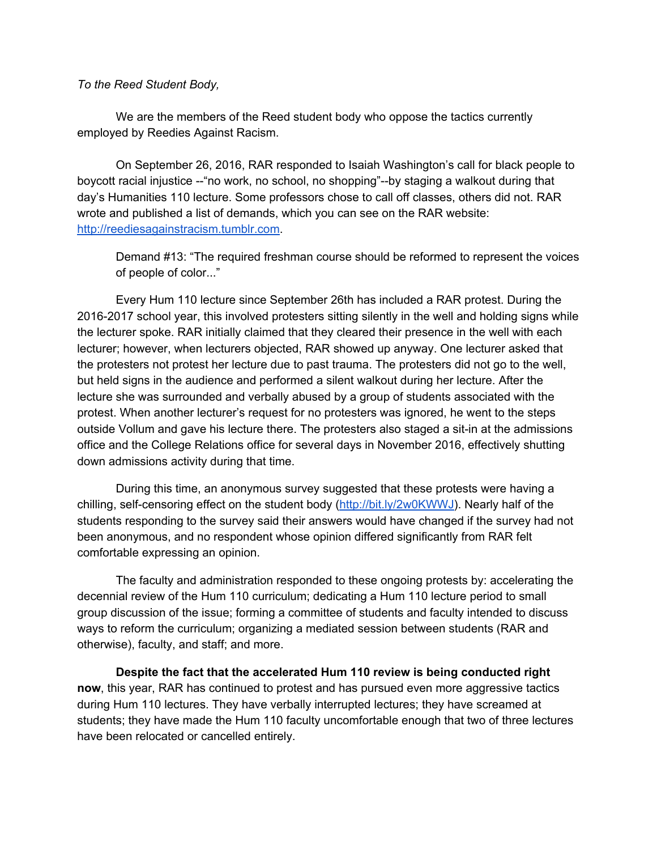## *To the Reed Student Body,*

We are the members of the Reed student body who oppose the tactics currently employed by Reedies Against Racism.

On September 26, 2016, RAR responded to Isaiah Washington's call for black people to boycott racial injustice --"no work, no school, no shopping"--by staging a walkout during that day's Humanities 110 lecture. Some professors chose to call off classes, others did not. RAR wrote and published a list of demands, which you can see on the RAR website: [http://reediesagainstracism.tumblr.com.](http://reediesagainstracism.tumblr.com/)

Demand #13: "The required freshman course should be reformed to represent the voices of people of color..."

Every Hum 110 lecture since September 26th has included a RAR protest. During the 2016-2017 school year, this involved protesters sitting silently in the well and holding signs while the lecturer spoke. RAR initially claimed that they cleared their presence in the well with each lecturer; however, when lecturers objected, RAR showed up anyway. One lecturer asked that the protesters not protest her lecture due to past trauma. The protesters did not go to the well, but held signs in the audience and performed a silent walkout during her lecture. After the lecture she was surrounded and verbally abused by a group of students associated with the protest. When another lecturer's request for no protesters was ignored, he went to the steps outside Vollum and gave his lecture there. The protesters also staged a sit-in at the admissions office and the College Relations office for several days in November 2016, effectively shutting down admissions activity during that time.

During this time, an anonymous survey suggested that these protests were having a chilling, self-censoring effect on the student body [\(http://bit.ly/2w0KWWJ](http://bit.ly/2w0KWWJ)). Nearly half of the students responding to the survey said their answers would have changed if the survey had not been anonymous, and no respondent whose opinion differed significantly from RAR felt comfortable expressing an opinion.

The faculty and administration responded to these ongoing protests by: accelerating the decennial review of the Hum 110 curriculum; dedicating a Hum 110 lecture period to small group discussion of the issue; forming a committee of students and faculty intended to discuss ways to reform the curriculum; organizing a mediated session between students (RAR and otherwise), faculty, and staff; and more.

**Despite the fact that the accelerated Hum 110 review is being conducted right now**, this year, RAR has continued to protest and has pursued even more aggressive tactics during Hum 110 lectures. They have verbally interrupted lectures; they have screamed at students; they have made the Hum 110 faculty uncomfortable enough that two of three lectures have been relocated or cancelled entirely.